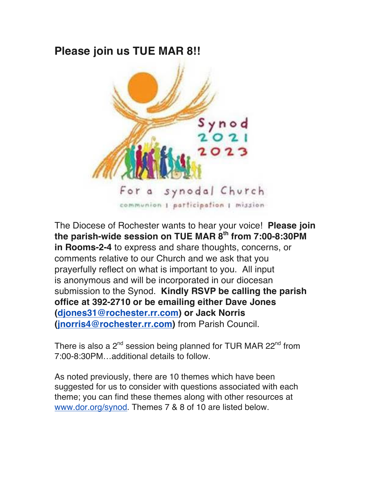## **Please join us TUE MAR 8!!**



The Diocese of Rochester wants to hear your voice! **Please join the parish-wide session on TUE MAR 8th from 7:00-8:30PM in Rooms-2-4** to express and share thoughts, concerns, or comments relative to our Church and we ask that you prayerfully reflect on what is important to you. All input is anonymous and will be incorporated in our diocesan submission to the Synod. **Kindly RSVP be calling the parish office at 392-2710 or be emailing either Dave Jones (djones31@rochester.rr.com) or Jack Norris (jnorris4@rochester.rr.com)** from Parish Council.

There is also a  $2^{nd}$  session being planned for TUR MAR  $22^{nd}$  from 7:00-8:30PM…additional details to follow.

As noted previously, there are 10 themes which have been suggested for us to consider with questions associated with each theme; you can find these themes along with other resources at www.dor.org/synod. Themes 7 & 8 of 10 are listed below.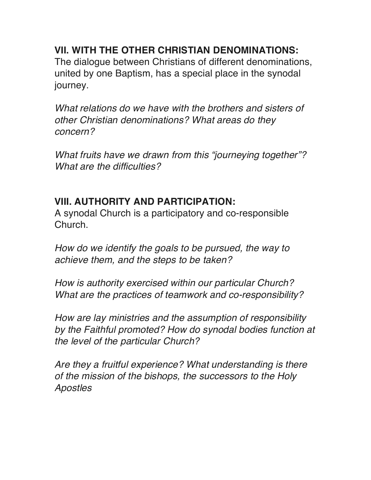## **VII. WITH THE OTHER CHRISTIAN DENOMINATIONS:**

The dialogue between Christians of different denominations, united by one Baptism, has a special place in the synodal journey.

*What relations do we have with the brothers and sisters of other Christian denominations? What areas do they concern?*

*What fruits have we drawn from this "journeying together"? What are the difficulties?*

## **VIII. AUTHORITY AND PARTICIPATION:**

A synodal Church is a participatory and co-responsible Church.

*How do we identify the goals to be pursued, the way to achieve them, and the steps to be taken?*

*How is authority exercised within our particular Church? What are the practices of teamwork and co-responsibility?*

*How are lay ministries and the assumption of responsibility by the Faithful promoted? How do synodal bodies function at the level of the particular Church?*

*Are they a fruitful experience? What understanding is there of the mission of the bishops, the successors to the Holy Apostles*